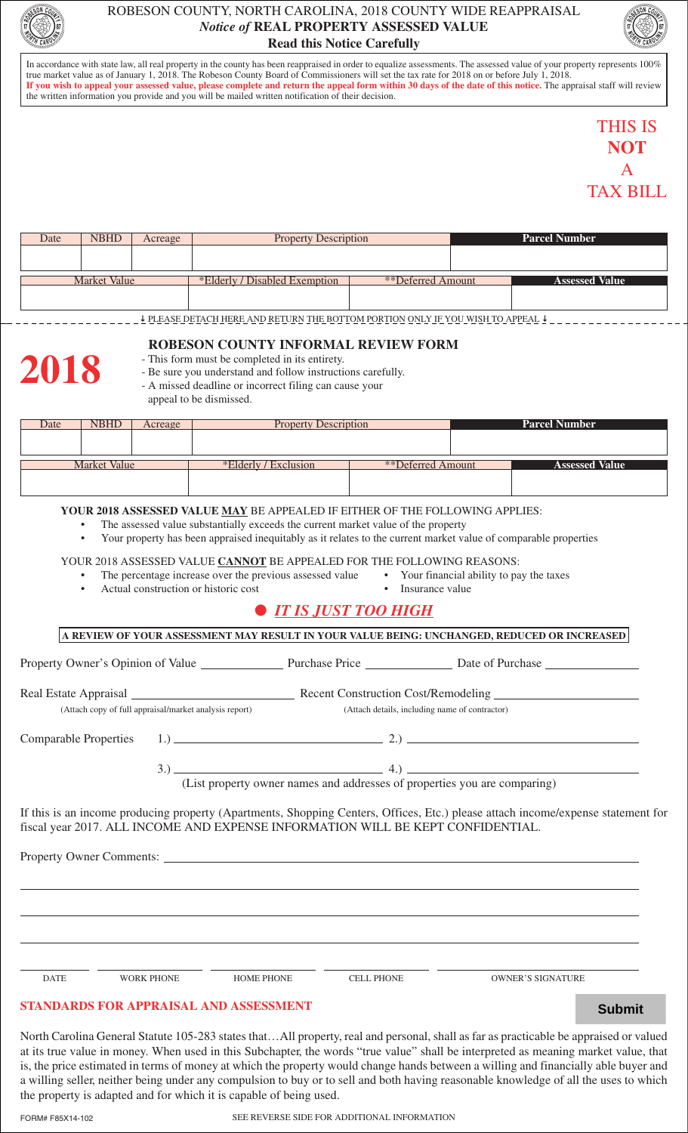

## ROBESON COUNTY, NORTH CAROLINA, 2018 COUNTY WIDE REAPPRAISAL *Notice of* **REAL PROPERTY ASSESSED VALUE Read this Notice Carefully**



In accordance with state law, all real property in the county has been reappraised in order to equalize assessments. The assessed value of your property represents 100% true market value as of January 1, 2018. The Robeson County Board of Commissioners will set the tax rate for 2018 on or before July 1, 2018. **If you wish to appeal your assessed value, please complete and return the appeal form within 30 days of the date of this notice.** The appraisal staff will review the written information you provide and you will be mailed written notification of their decision.

# THIS IS **NOT**  A TAX BILL

| Date         | <b>NBHD</b> | Acreage | <b>Property Description</b>   |                   | <b>Parcel Number</b> |                       |
|--------------|-------------|---------|-------------------------------|-------------------|----------------------|-----------------------|
|              |             |         |                               |                   |                      |                       |
|              |             |         |                               |                   |                      |                       |
| Market Value |             |         | *Elderly / Disabled Exemption | **Deferred Amount |                      | <b>Assessed Value</b> |
|              |             |         |                               |                   |                      |                       |
|              |             |         |                               |                   |                      |                       |

PLEASE DETACH HERE AND RETURN THE BOTTOM PORTION ONLY IF YOU WISH TO APPEAL

## **ROBESON COUNTY INFORMAL REVIEW FORM**



- This form must be completed in its entirety.
- Be sure you understand and follow instructions carefully.
- A missed deadline or incorrect filing can cause your

appeal to be dismissed.

| Date                | <b>NBHD</b> | <u>Acreage</u> | <b>Property Description</b> |                   | <b>Parcel Number</b> |                       |
|---------------------|-------------|----------------|-----------------------------|-------------------|----------------------|-----------------------|
|                     |             |                |                             |                   |                      |                       |
|                     |             |                |                             |                   |                      |                       |
|                     |             |                |                             |                   |                      |                       |
| <b>Market Value</b> |             |                | Exclusion<br>*Elderly/      | **Deferred Amount |                      | <b>Assessed Value</b> |
|                     |             |                |                             |                   |                      |                       |
|                     |             |                |                             |                   |                      |                       |
|                     |             |                |                             |                   |                      |                       |

## **YOUR 2018 ASSESSED VALUE MAY** BE APPEALED IF EITHER OF THE FOLLOWING APPLIES:

- The assessed value substantially exceeds the current market value of the property
- Your property has been appraised inequitably as it relates to the current market value of comparable properties

## YOUR 2018 ASSESSED VALUE **CANNOT** BE APPEALED FOR THE FOLLOWING REASONS:

- The percentage increase over the previous assessed value Your financial ability to pay the taxes
- 
- Actual construction or historic cost Insurance value
- 

## l *IT IS JUST TOO HIGH*

**A REVIEW OF YOUR ASSESSMENT MAY RESULT IN YOUR VALUE BEING: UNCHANGED, REDUCED OR INCREASED** Property Owner's Opinion of Value Purchase Price Date of Purchase Real Estate Appraisal Recent Construction Cost/Remodeling (Attach copy of full appraisal/market analysis report) (Attach details, including name of contractor) Comparable Properties 1.) 2.  $3.)$  4.) (List property owner names and addresses of properties you are comparing)

If this is an income producing property (Apartments, Shopping Centers, Offices, Etc.) please attach income/expense statement for fiscal year 2017. ALL INCOME AND EXPENSE INFORMATION WILL BE KEPT CONFIDENTIAL.

Property Owner Comments:

DATE WORK PHONE HOME PHONE CELL PHONE OWNER'S SIGNATURE

## **STANDARDS FOR APPRAISAL AND ASSESSMENT**

North Carolina General Statute 105-283 states that…All property, real and personal, shall as far as practicable be appraised or valued at its true value in money. When used in this Subchapter, the words "true value" shall be interpreted as meaning market value, that is, the price estimated in terms of money at which the property would change hands between a willing and financially able buyer and a willing seller, neither being under any compulsion to buy or to sell and both having reasonable knowledge of all the uses to which the property is adapted and for which it is capable of being used. **STANDARDS FOR APPRAISAL AND ASSESSMENT**<br>North Carolina General Statute 105-283 states that...All property, real and personal, shall as far as practicable be appraised or vast its true value in money. When used in this Sub